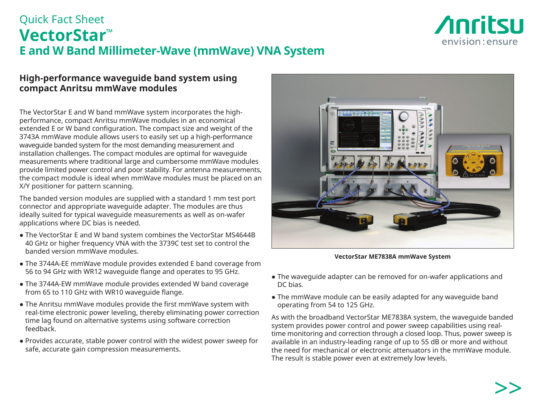

# Quick Fact Sheet **VectorStar™ E and W Band Millimeter-Wave (mmWave) VNA System**

### **High-performance waveguide band system using compact Anritsu mmWave modules**

The VectorStar E and W band mmWave system incorporates the highperformance, compact Anritsu mmWave modules in an economical extended E or W band configuration. The compact size and weight of the 3743A mmWave module allows users to easily set up a high-performance waveguide banded system for the most demanding measurement and installation challenges. The compact modules are optimal for waveguide measurements where traditional large and cumbersome mmWave modules provide limited power control and poor stability. For antenna measurements, the compact module is ideal when mmWave modules must be placed on an X/Y positioner for pattern scanning.

The banded version modules are supplied with a standard 1 mm test port connector and appropriate waveguide adapter. The modules are thus ideally suited for typical waveguide measurements as well as on-wafer applications where DC bias is needed.

- The VectorStar E and W band system combines the VectorStar MS4644B 40 GHz or higher frequency VNA with the 3739C test set to control the banded version mmWave modules.
- The 3744A-EE mmWave module provides extended E band coverage from 56 to 94 GHz with WR12 waveguide flange and operates to 95 GHz.
- The 3744A-EW mmWave module provides extended W band coverage from 65 to 110 GHz with WR10 waveguide flange.
- The Anritsu mmWave modules provide the first mmWave system with real-time electronic power leveling, thereby eliminating power correction time lag found on alternative systems using software correction feedback.
- Provides accurate, stable power control with the widest power sweep for safe, accurate gain compression measurements.



**VectorStar ME7838A mmWave System**

- The wavequide adapter can be removed for on-wafer applications and DC bias.
- The mmWave module can be easily adapted for any waveguide band operating from 54 to 125 GHz.

As with the broadband VectorStar ME7838A system, the waveguide banded system provides power control and power sweep capabilities using realtime monitoring and correction through a closed loop. Thus, power sweep is available in an industry-leading range of up to 55 dB or more and without the need for mechanical or electronic attenuators in the mmWave module. The result is stable power even at extremely low levels.